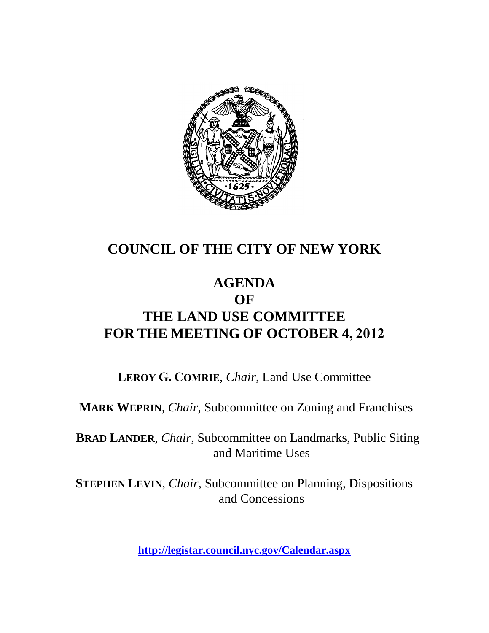

## **COUNCIL OF THE CITY OF NEW YORK**

### **AGENDA OF THE LAND USE COMMITTEE FOR THE MEETING OF OCTOBER 4, 2012**

**LEROY G. COMRIE**, *Chair*, Land Use Committee

**MARK WEPRIN**, *Chair*, Subcommittee on Zoning and Franchises

**BRAD LANDER**, *Chair*, Subcommittee on Landmarks, Public Siting and Maritime Uses

**STEPHEN LEVIN**, *Chair,* Subcommittee on Planning, Dispositions and Concessions

**<http://legistar.council.nyc.gov/Calendar.aspx>**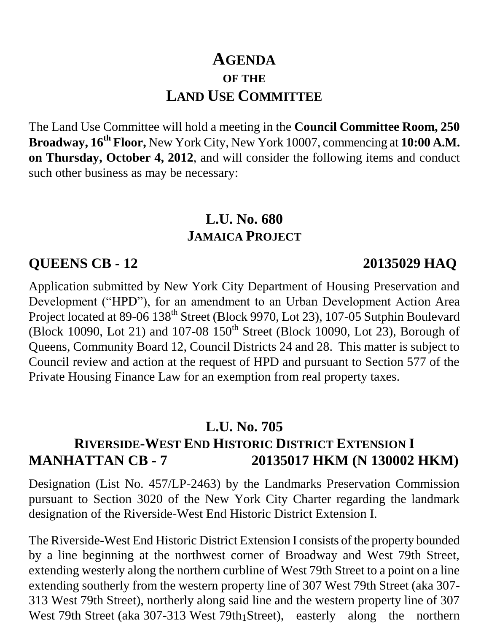## **AGENDA OF THE LAND USE COMMITTEE**

The Land Use Committee will hold a meeting in the **Council Committee Room, 250 Broadway, 16th Floor,** New York City, New York 10007, commencing at **10:00 A.M. on Thursday, October 4, 2012**, and will consider the following items and conduct such other business as may be necessary:

### **L.U. No. 680 JAMAICA PROJECT**

#### **QUEENS CB - 12 20135029 HAQ**

Application submitted by New York City Department of Housing Preservation and Development ("HPD"), for an amendment to an Urban Development Action Area Project located at 89-06 138<sup>th</sup> Street (Block 9970, Lot 23), 107-05 Sutphin Boulevard (Block 10090, Lot 21) and 107-08  $150^{th}$  Street (Block 10090, Lot 23), Borough of Queens, Community Board 12, Council Districts 24 and 28. This matter is subject to Council review and action at the request of HPD and pursuant to Section 577 of the Private Housing Finance Law for an exemption from real property taxes.

#### **L.U. No. 705**

#### **RIVERSIDE-WEST END HISTORIC DISTRICT EXTENSION I MANHATTAN CB - 7 20135017 HKM (N 130002 HKM)**

Designation (List No. 457/LP-2463) by the Landmarks Preservation Commission pursuant to Section 3020 of the New York City Charter regarding the landmark designation of the Riverside-West End Historic District Extension I.

West 79th Street (aka 307-313 West 79th Street), easterly along the northern The Riverside-West End Historic District Extension I consists of the property bounded by a line beginning at the northwest corner of Broadway and West 79th Street, extending westerly along the northern curbline of West 79th Street to a point on a line extending southerly from the western property line of 307 West 79th Street (aka 307- 313 West 79th Street), northerly along said line and the western property line of 307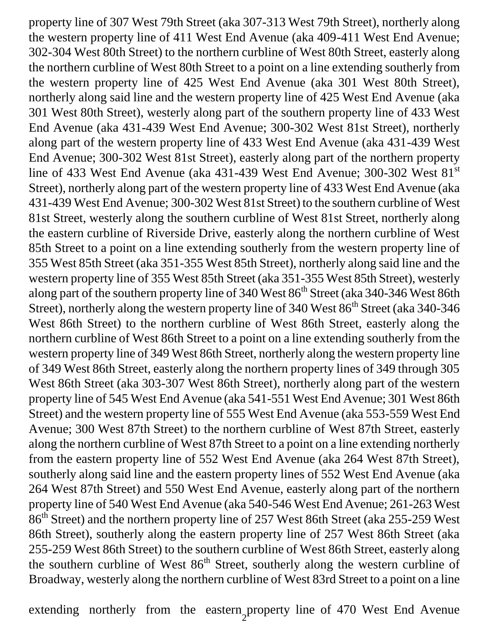property line of 307 West 79th Street (aka 307-313 West 79th Street), northerly along the western property line of 411 West End Avenue (aka 409-411 West End Avenue; 302-304 West 80th Street) to the northern curbline of West 80th Street, easterly along the northern curbline of West 80th Street to a point on a line extending southerly from the western property line of 425 West End Avenue (aka 301 West 80th Street), northerly along said line and the western property line of 425 West End Avenue (aka 301 West 80th Street), westerly along part of the southern property line of 433 West End Avenue (aka 431-439 West End Avenue; 300-302 West 81st Street), northerly along part of the western property line of 433 West End Avenue (aka 431-439 West End Avenue; 300-302 West 81st Street), easterly along part of the northern property line of 433 West End Avenue (aka 431-439 West End Avenue; 300-302 West 81<sup>st</sup> Street), northerly along part of the western property line of 433 West End Avenue (aka 431-439 West End Avenue; 300-302 West 81st Street) to the southern curbline of West 81st Street, westerly along the southern curbline of West 81st Street, northerly along the eastern curbline of Riverside Drive, easterly along the northern curbline of West 85th Street to a point on a line extending southerly from the western property line of 355 West 85th Street (aka 351-355 West 85th Street), northerly along said line and the western property line of 355 West 85th Street (aka 351-355 West 85th Street), westerly along part of the southern property line of 340 West 86th Street (aka 340-346 West 86th Street), northerly along the western property line of 340 West 86<sup>th</sup> Street (aka 340-346 West 86th Street) to the northern curbline of West 86th Street, easterly along the northern curbline of West 86th Street to a point on a line extending southerly from the western property line of 349 West 86th Street, northerly along the western property line of 349 West 86th Street, easterly along the northern property lines of 349 through 305 West 86th Street (aka 303-307 West 86th Street), northerly along part of the western property line of 545 West End Avenue (aka 541-551 West End Avenue; 301 West 86th Street) and the western property line of 555 West End Avenue (aka 553-559 West End Avenue; 300 West 87th Street) to the northern curbline of West 87th Street, easterly along the northern curbline of West 87th Street to a point on a line extending northerly from the eastern property line of 552 West End Avenue (aka 264 West 87th Street), southerly along said line and the eastern property lines of 552 West End Avenue (aka 264 West 87th Street) and 550 West End Avenue, easterly along part of the northern property line of 540 West End Avenue (aka 540-546 West End Avenue; 261-263 West 86th Street) and the northern property line of 257 West 86th Street (aka 255-259 West 86th Street), southerly along the eastern property line of 257 West 86th Street (aka 255-259 West 86th Street) to the southern curbline of West 86th Street, easterly along the southern curbline of West  $86<sup>th</sup>$  Street, southerly along the western curbline of Broadway, westerly along the northern curbline of West 83rd Street to a point on a line

2 extending northerly from the eastern property line of 470 West End Avenue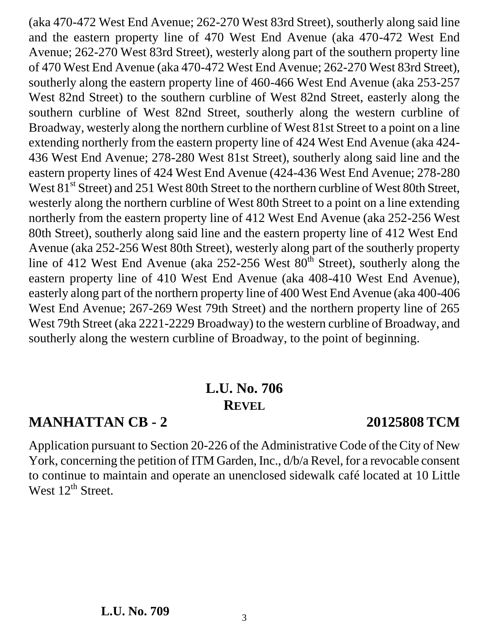southerly along the eastern property line of 460-466 West End Avenue (aka 253-257 West 82nd Street) to the southern curbline of West 82nd Street, easterly along the southern curbline of West 82nd Street, southerly along the western curbline of Broadway, westerly along the northern curbline of West 81st Street to a point on a line extending northerly from the eastern property line of 424 West End Avenue (aka 424- 436 West End Avenue; 278-280 West 81st Street), southerly along said line and the eastern property lines of 424 West End Avenue (424-436 West End Avenue; 278-280 West 81<sup>st</sup> Street) and 251 West 80th Street to the northern curbline of West 80th Street, westerly along the northern curbline of West 80th Street to a point on a line extending northerly from the eastern property line of 412 West End Avenue (aka 252-256 West 80th Street), southerly along said line and the eastern property line of 412 West End Avenue (aka 252-256 West 80th Street), westerly along part of the southerly property line of 412 West End Avenue (aka  $252{\text -}256$  West  $80^{\text{th}}$  Street), southerly along the eastern property line of 410 West End Avenue (aka 408-410 West End Avenue), easterly along part of the northern property line of 400 West End Avenue (aka 400-406 West End Avenue; 267-269 West 79th Street) and the northern property line of 265 West 79th Street (aka 2221-2229 Broadway) to the western curbline of Broadway, and southerly along the western curbline of Broadway, to the point of beginning.

(aka 470-472 West End Avenue; 262-270 West 83rd Street), southerly along said line and the eastern property line of 470 West End Avenue (aka 470-472 West End Avenue; 262-270 West 83rd Street), westerly along part of the southern property line of 470 West End Avenue (aka 470-472 West End Avenue; 262-270 West 83rd Street),

### **L.U. No. 706 REVEL**

## **MANHATTAN CB - 2 20125808 TCM**

Application pursuant to Section 20-226 of the Administrative Code of the City of New York, concerning the petition of ITM Garden, Inc., d/b/a Revel, for a revocable consent to continue to maintain and operate an unenclosed sidewalk café located at 10 Little West 12<sup>th</sup> Street.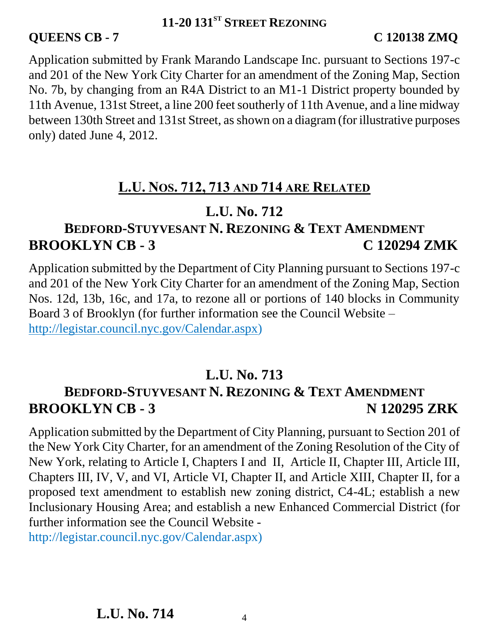#### **QUEENS CB - 7 C 120138 ZMQ**

Application submitted by Frank Marando Landscape Inc. pursuant to Sections 197-c and 201 of the New York City Charter for an amendment of the Zoning Map, Section No. 7b, by changing from an R4A District to an M1-1 District property bounded by 11th Avenue, 131st Street, a line 200 feet southerly of 11th Avenue, and a line midway between 130th Street and 131st Street, as shown on a diagram (for illustrative purposes only) dated June 4, 2012.

### **L.U. NOS. 712, 713 AND 714 ARE RELATED**

### **L.U. No. 712**

## **BEDFORD-STUYVESANT N. REZONING & TEXT AMENDMENT BROOKLYN CB - 3 C 120294 ZMK**

Application submitted by the Department of City Planning pursuant to Sections 197-c and 201 of the New York City Charter for an amendment of the Zoning Map, Section Nos. 12d, 13b, 16c, and 17a, to rezone all or portions of 140 blocks in Community Board 3 of Brooklyn (for further information see the Council Website – [http://legistar.council.nyc.gov/Calendar.aspx\)](http://legistar.council.nyc.gov/Calendar.aspx)

#### **L.U. No. 713**

### **BEDFORD-STUYVESANT N. REZONING & TEXT AMENDMENT BROOKLYN CB - 3 N 120295 ZRK**

Application submitted by the Department of City Planning, pursuant to Section 201 of the New York City Charter, for an amendment of the Zoning Resolution of the City of New York, relating to Article I, Chapters I and II, Article II, Chapter III, Article III, Chapters III, IV, V, and VI, Article VI, Chapter II, and Article XIII, Chapter II, for a proposed text amendment to establish new zoning district, C4-4L; establish a new Inclusionary Housing Area; and establish a new Enhanced Commercial District (for further information see the Council Website -

http://legistar.council.nyc.gov/Calendar.aspx)

**L.U. No. 714**